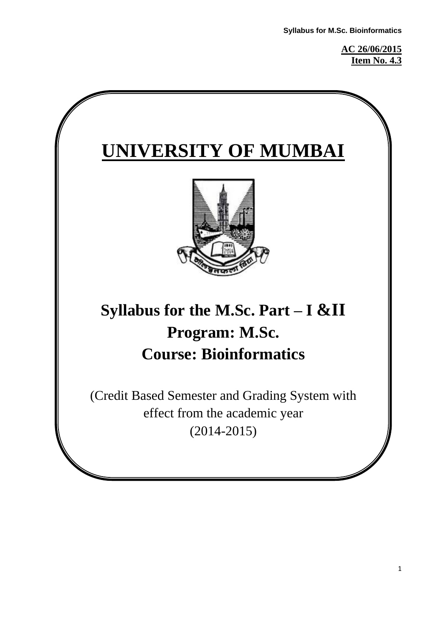**AC 26/06/2015 Item No. 4.3**

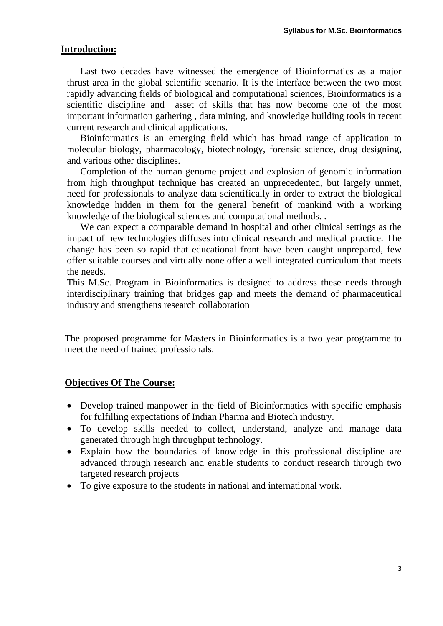#### **Introduction:**

Last two decades have witnessed the emergence of Bioinformatics as a major thrust area in the global scientific scenario. It is the interface between the two most rapidly advancing fields of biological and computational sciences, Bioinformatics is a scientific discipline and asset of skills that has now become one of the most important information gathering , data mining, and knowledge building tools in recent current research and clinical applications.

Bioinformatics is an emerging field which has broad range of application to molecular biology, pharmacology, biotechnology, forensic science, drug designing, and various other disciplines.

Completion of the human genome project and explosion of genomic information from high throughput technique has created an unprecedented, but largely unmet, need for professionals to analyze data scientifically in order to extract the biological knowledge hidden in them for the general benefit of mankind with a working knowledge of the biological sciences and computational methods. .

We can expect a comparable demand in hospital and other clinical settings as the impact of new technologies diffuses into clinical research and medical practice. The change has been so rapid that educational front have been caught unprepared, few offer suitable courses and virtually none offer a well integrated curriculum that meets the needs.

This M.Sc. Program in Bioinformatics is designed to address these needs through interdisciplinary training that bridges gap and meets the demand of pharmaceutical industry and strengthens research collaboration

The proposed programme for Masters in Bioinformatics is a two year programme to meet the need of trained professionals.

#### **Objectives Of The Course:**

- Develop trained manpower in the field of Bioinformatics with specific emphasis for fulfilling expectations of Indian Pharma and Biotech industry.
- To develop skills needed to collect, understand, analyze and manage data generated through high throughput technology.
- Explain how the boundaries of knowledge in this professional discipline are advanced through research and enable students to conduct research through two targeted research projects
- To give exposure to the students in national and international work.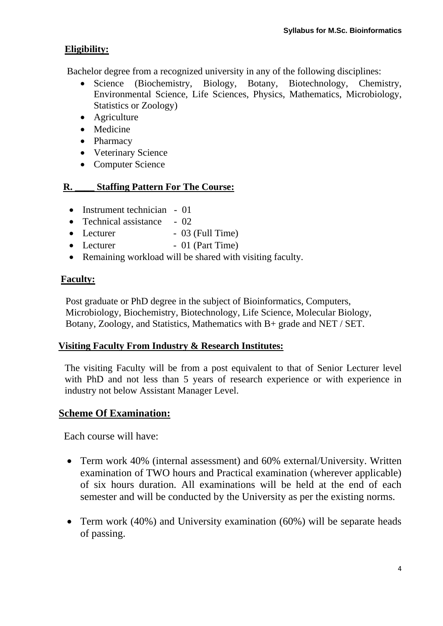## **Eligibility:**

Bachelor degree from a recognized university in any of the following disciplines:

- Science (Biochemistry, Biology, Botany, Biotechnology, Chemistry, Environmental Science, Life Sciences, Physics, Mathematics, Microbiology, Statistics or Zoology)
- Agriculture
- Medicine
- Pharmacy
- Veterinary Science
- Computer Science

### **R. \_\_\_\_ Staffing Pattern For The Course:**

- Instrument technician 01
- Technical assistance 02
- $\bullet$  Lecturer  $\bullet$  03 (Full Time)
- Lecturer 01 (Part Time)
- Remaining workload will be shared with visiting faculty.

### **Faculty:**

 Post graduate or PhD degree in the subject of Bioinformatics, Computers, Microbiology, Biochemistry, Biotechnology, Life Science, Molecular Biology, Botany, Zoology, and Statistics, Mathematics with B+ grade and NET / SET.

### **Visiting Faculty From Industry & Research Institutes:**

The visiting Faculty will be from a post equivalent to that of Senior Lecturer level with PhD and not less than 5 years of research experience or with experience in industry not below Assistant Manager Level.

## **Scheme Of Examination:**

Each course will have:

- Term work 40% (internal assessment) and 60% external/University. Written examination of TWO hours and Practical examination (wherever applicable) of six hours duration. All examinations will be held at the end of each semester and will be conducted by the University as per the existing norms.
- Term work (40%) and University examination (60%) will be separate heads of passing.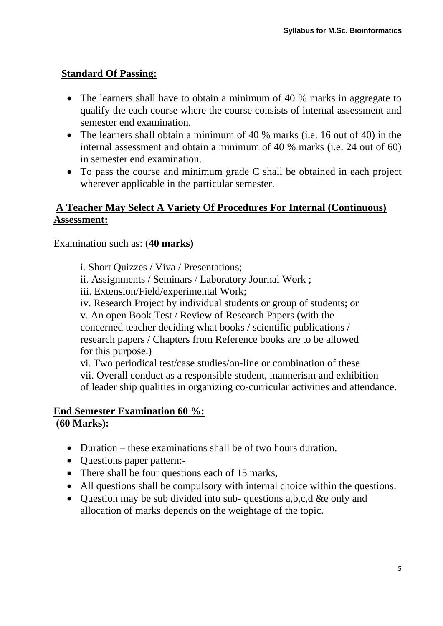## **Standard Of Passing:**

- The learners shall have to obtain a minimum of 40 % marks in aggregate to qualify the each course where the course consists of internal assessment and semester end examination.
- The learners shall obtain a minimum of 40 % marks (i.e. 16 out of 40) in the internal assessment and obtain a minimum of 40 % marks (i.e. 24 out of 60) in semester end examination.
- To pass the course and minimum grade C shall be obtained in each project wherever applicable in the particular semester.

# **A Teacher May Select A Variety Of Procedures For Internal (Continuous) Assessment:**

Examination such as: (**40 marks)**

i. Short Quizzes / Viva / Presentations;

- ii. Assignments / Seminars / Laboratory Journal Work ;
- iii. Extension/Field/experimental Work;
- iv. Research Project by individual students or group of students; or

v. An open Book Test / Review of Research Papers (with the concerned teacher deciding what books / scientific publications / research papers / Chapters from Reference books are to be allowed for this purpose.)

vi. Two periodical test/case studies/on-line or combination of these vii. Overall conduct as a responsible student, mannerism and exhibition of leader ship qualities in organizing co-curricular activities and attendance.

## **End Semester Examination 60 %:**

**(60 Marks):**

- Duration these examinations shall be of two hours duration.
- Ouestions paper pattern:-
- There shall be four questions each of 15 marks,
- All questions shall be compulsory with internal choice within the questions.
- Question may be sub divided into sub-questions a, b, c, d & e only and allocation of marks depends on the weightage of the topic.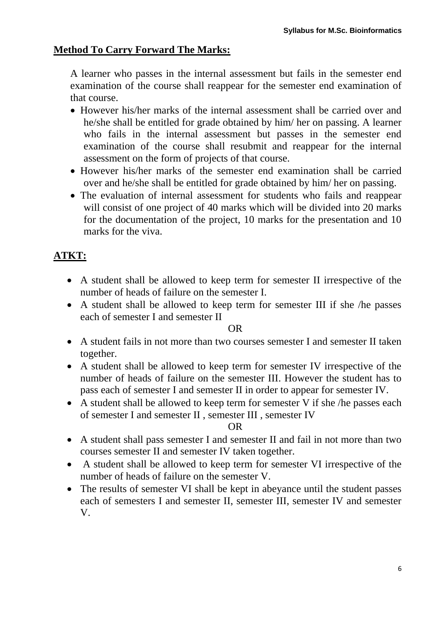# **Method To Carry Forward The Marks:**

A learner who passes in the internal assessment but fails in the semester end examination of the course shall reappear for the semester end examination of that course.

- However his/her marks of the internal assessment shall be carried over and he/she shall be entitled for grade obtained by him/ her on passing. A learner who fails in the internal assessment but passes in the semester end examination of the course shall resubmit and reappear for the internal assessment on the form of projects of that course.
- However his/her marks of the semester end examination shall be carried over and he/she shall be entitled for grade obtained by him/ her on passing.
- The evaluation of internal assessment for students who fails and reappear will consist of one project of 40 marks which will be divided into 20 marks for the documentation of the project, 10 marks for the presentation and 10 marks for the viva.

# **ATKT:**

- A student shall be allowed to keep term for semester II irrespective of the number of heads of failure on the semester I.
- A student shall be allowed to keep term for semester III if she /he passes each of semester I and semester II

**OR** Service Service Service Service Service Service Service Service Service Service Service Service Service Service Service Service Service Service Service Service Service Service Service Service Service Service Service S

- A student fails in not more than two courses semester I and semester II taken together.
- A student shall be allowed to keep term for semester IV irrespective of the number of heads of failure on the semester III. However the student has to pass each of semester I and semester II in order to appear for semester IV.
- A student shall be allowed to keep term for semester V if she /he passes each of semester I and semester II , semester III , semester IV

### **OR** Service Service Service Service Service Service Service Service Service Service Service Service Service Service Service Service Service Service Service Service Service Service Service Service Service Service Service S

- A student shall pass semester I and semester II and fail in not more than two courses semester II and semester IV taken together.
- A student shall be allowed to keep term for semester VI irrespective of the number of heads of failure on the semester V.
- The results of semester VI shall be kept in abeyance until the student passes each of semesters I and semester II, semester III, semester IV and semester V.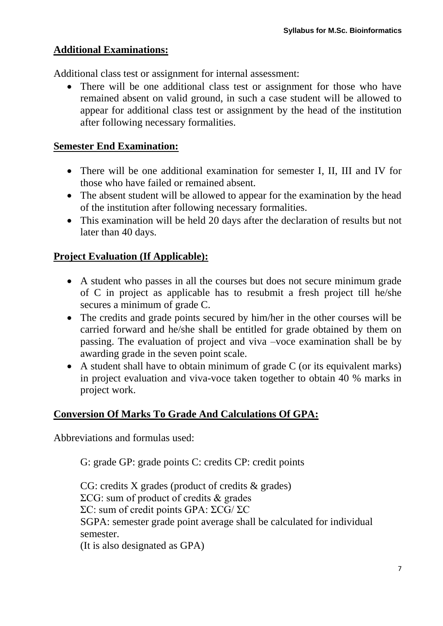### **Additional Examinations:**

Additional class test or assignment for internal assessment:

• There will be one additional class test or assignment for those who have remained absent on valid ground, in such a case student will be allowed to appear for additional class test or assignment by the head of the institution after following necessary formalities.

### **Semester End Examination:**

- There will be one additional examination for semester I, II, III and IV for those who have failed or remained absent.
- The absent student will be allowed to appear for the examination by the head of the institution after following necessary formalities.
- This examination will be held 20 days after the declaration of results but not later than 40 days.

### **Project Evaluation (If Applicable):**

- A student who passes in all the courses but does not secure minimum grade of C in project as applicable has to resubmit a fresh project till he/she secures a minimum of grade C.
- The credits and grade points secured by him/her in the other courses will be carried forward and he/she shall be entitled for grade obtained by them on passing. The evaluation of project and viva –voce examination shall be by awarding grade in the seven point scale.
- A student shall have to obtain minimum of grade C (or its equivalent marks) in project evaluation and viva-voce taken together to obtain 40 % marks in project work.

# **Conversion Of Marks To Grade And Calculations Of GPA:**

Abbreviations and formulas used:

G: grade GP: grade points C: credits CP: credit points

CG: credits X grades (product of credits & grades) ΣCG: sum of product of credits & grades ΣC: sum of credit points GPA: ΣCG/ ΣC SGPA: semester grade point average shall be calculated for individual semester. (It is also designated as GPA)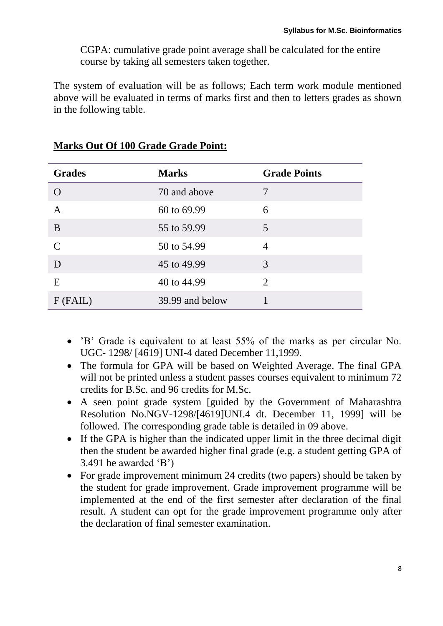CGPA: cumulative grade point average shall be calculated for the entire course by taking all semesters taken together.

The system of evaluation will be as follows; Each term work module mentioned above will be evaluated in terms of marks first and then to letters grades as shown in the following table.

| <b>Grades</b> | <b>Marks</b>    | <b>Grade Points</b> |
|---------------|-----------------|---------------------|
| O             | 70 and above    |                     |
| A             | 60 to 69.99     | 6                   |
| B             | 55 to 59.99     | 5                   |
| $\mathcal{C}$ | 50 to 54.99     | $\overline{4}$      |
| D             | 45 to 49.99     | 3                   |
| E             | 40 to 44.99     | 2                   |
| $F$ (FAIL)    | 39.99 and below |                     |

## **Marks Out Of 100 Grade Grade Point:**

- 'B' Grade is equivalent to at least 55% of the marks as per circular No. UGC- 1298/ [4619] UNI-4 dated December 11,1999.
- The formula for GPA will be based on Weighted Average. The final GPA will not be printed unless a student passes courses equivalent to minimum 72 credits for B.Sc. and 96 credits for M.Sc.
- A seen point grade system [guided by the Government of Maharashtra Resolution No.NGV-1298/[4619]UNI.4 dt. December 11, 1999] will be followed. The corresponding grade table is detailed in 09 above.
- If the GPA is higher than the indicated upper limit in the three decimal digit then the student be awarded higher final grade (e.g. a student getting GPA of 3.491 be awarded 'B')
- For grade improvement minimum 24 credits (two papers) should be taken by the student for grade improvement. Grade improvement programme will be implemented at the end of the first semester after declaration of the final result. A student can opt for the grade improvement programme only after the declaration of final semester examination.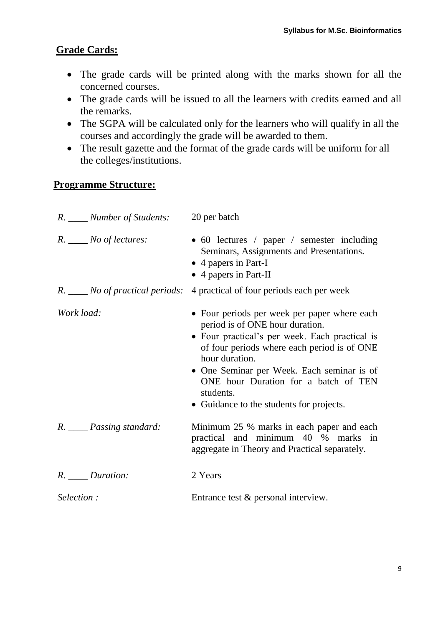## **Grade Cards:**

- The grade cards will be printed along with the marks shown for all the concerned courses.
- The grade cards will be issued to all the learners with credits earned and all the remarks.
- The SGPA will be calculated only for the learners who will qualify in all the courses and accordingly the grade will be awarded to them.
- The result gazette and the format of the grade cards will be uniform for all the colleges/institutions.

### **Programme Structure:**

| R. ____ Number of Students: | 20 per batch                                                                                                                                                                                                                                                                                                                                      |
|-----------------------------|---------------------------------------------------------------------------------------------------------------------------------------------------------------------------------------------------------------------------------------------------------------------------------------------------------------------------------------------------|
| $R.$ No of lectures:        | • 60 lectures / paper / semester including<br>Seminars, Assignments and Presentations.<br>• 4 papers in Part-I<br>• 4 papers in Part-II                                                                                                                                                                                                           |
|                             | R. ____ No of practical periods: 4 practical of four periods each per week                                                                                                                                                                                                                                                                        |
| Work load:                  | • Four periods per week per paper where each<br>period is of ONE hour duration.<br>• Four practical's per week. Each practical is<br>of four periods where each period is of ONE<br>hour duration.<br>• One Seminar per Week. Each seminar is of<br>ONE hour Duration for a batch of TEN<br>students.<br>• Guidance to the students for projects. |
| R. ____ Passing standard:   | Minimum 25 % marks in each paper and each<br>practical and minimum 40 % marks in<br>aggregate in Theory and Practical separately.                                                                                                                                                                                                                 |
| R. <i>Duration</i> :        | 2 Years                                                                                                                                                                                                                                                                                                                                           |
| Selection:                  | Entrance test & personal interview.                                                                                                                                                                                                                                                                                                               |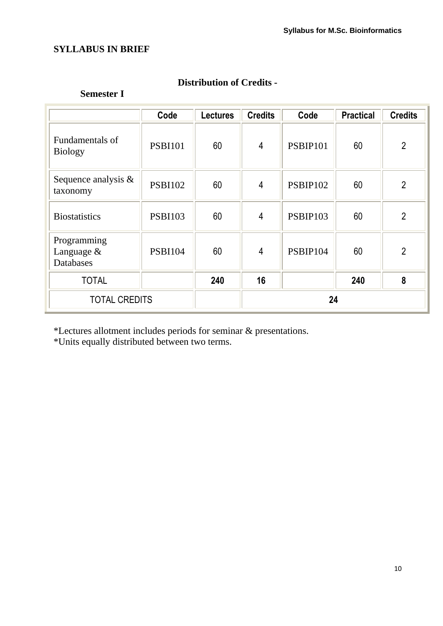## **SYLLABUS IN BRIEF**

## **Distribution of Credits -**

#### **Semester I**

|                                               | Code           | <b>Lectures</b> | <b>Credits</b> | Code            | <b>Practical</b> | <b>Credits</b> |
|-----------------------------------------------|----------------|-----------------|----------------|-----------------|------------------|----------------|
| Fundamentals of<br><b>Biology</b>             | <b>PSBI101</b> | 60              | $\overline{4}$ | PSBIP101        | 60               | $\overline{2}$ |
| Sequence analysis $\&$<br>taxonomy            | <b>PSBI102</b> | 60              | $\overline{4}$ | <b>PSBIP102</b> | 60               | $\overline{2}$ |
| <b>Biostatistics</b>                          | <b>PSBI103</b> | 60              | $\overline{4}$ | PSBIP103        | 60               | $\overline{2}$ |
| Programming<br>Language &<br><b>Databases</b> | <b>PSBI104</b> | 60              | $\overline{4}$ | PSBIP104        | 60               | $\overline{2}$ |
| <b>TOTAL</b>                                  |                | 240             | 16             |                 | 240              | 8              |
| <b>TOTAL CREDITS</b>                          |                |                 |                | 24              |                  |                |

\*Lectures allotment includes periods for seminar & presentations.

\*Units equally distributed between two terms.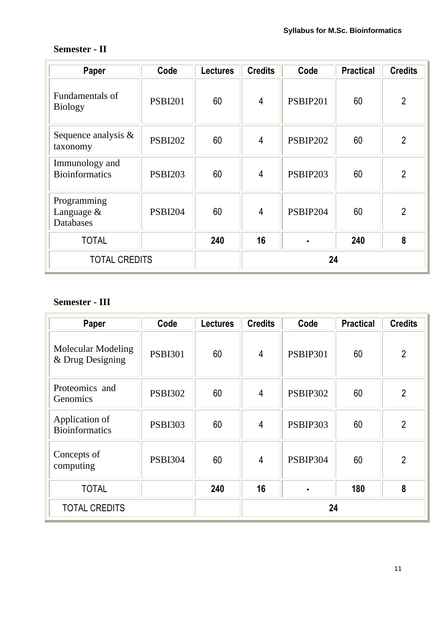## **Semester - II**

| Paper                                     | Code           | <b>Lectures</b> | <b>Credits</b> | Code            | <b>Practical</b> | <b>Credits</b> |
|-------------------------------------------|----------------|-----------------|----------------|-----------------|------------------|----------------|
| Fundamentals of<br><b>Biology</b>         | <b>PSBI201</b> | 60              | $\overline{4}$ | <b>PSBIP201</b> | 60               | $\overline{2}$ |
| Sequence analysis $\&$<br>taxonomy        | <b>PSBI202</b> | 60              | $\overline{4}$ | PSBIP202        | 60               | $\overline{2}$ |
| Immunology and<br><b>Bioinformatics</b>   | <b>PSBI203</b> | 60              | $\overline{4}$ | PSBIP203        | 60               | $\overline{2}$ |
| Programming<br>Language $\&$<br>Databases | <b>PSBI204</b> | 60              | $\overline{4}$ | PSBIP204        | 60               | $\overline{2}$ |
| <b>TOTAL</b>                              |                | 240             | 16             |                 | 240              | 8              |
| <b>TOTAL CREDITS</b>                      |                |                 |                | 24              |                  |                |

# **Semester - III**

| Paper                                         | Code           | <b>Lectures</b> | <b>Credits</b> | Code            | <b>Practical</b> | <b>Credits</b> |
|-----------------------------------------------|----------------|-----------------|----------------|-----------------|------------------|----------------|
| <b>Molecular Modeling</b><br>& Drug Designing | <b>PSBI301</b> | 60              | 4              | <b>PSBIP301</b> | 60               | $\overline{2}$ |
| Proteomics and<br>Genomics                    | <b>PSBI302</b> | 60              | $\overline{4}$ | <b>PSBIP302</b> | 60               | $\overline{2}$ |
| Application of<br><b>Bioinformatics</b>       | <b>PSBI303</b> | 60              | $\overline{4}$ | PSBIP303        | 60               | $\overline{2}$ |
| Concepts of<br>computing                      | <b>PSBI304</b> | 60              | 4              | PSBIP304        | 60               | $\overline{2}$ |
| <b>TOTAL</b>                                  |                | 240             | 16             |                 | 180              | 8              |
| <b>TOTAL CREDITS</b>                          |                |                 |                | 24              |                  |                |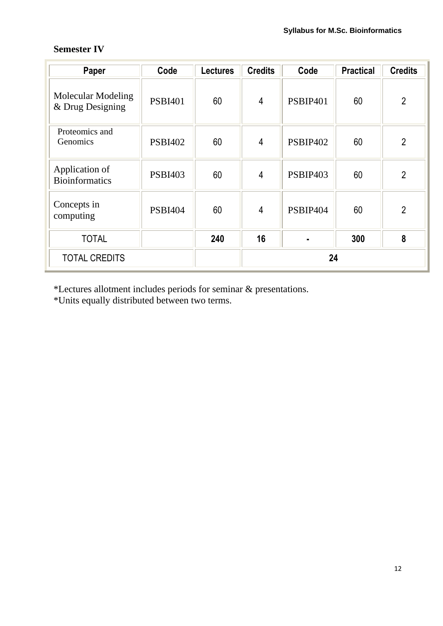## **Semester IV**

| Paper                                         | Code           | <b>Lectures</b> | <b>Credits</b> | Code            | <b>Practical</b> | <b>Credits</b> |
|-----------------------------------------------|----------------|-----------------|----------------|-----------------|------------------|----------------|
| <b>Molecular Modeling</b><br>& Drug Designing | <b>PSBI401</b> | 60              | $\overline{4}$ | <b>PSBIP401</b> | 60               | $\overline{2}$ |
| Proteomics and<br>Genomics                    | <b>PSBI402</b> | 60              | $\overline{4}$ | PSBIP402        | 60               | $\overline{2}$ |
| Application of<br><b>Bioinformatics</b>       | <b>PSBI403</b> | 60              | 4              | PSBIP403        | 60               | $\overline{2}$ |
| Concepts in<br>computing                      | <b>PSBI404</b> | 60              | $\overline{4}$ | PSBIP404        | 60               | $\overline{2}$ |
| <b>TOTAL</b>                                  |                | 240             | 16             |                 | 300              | 8              |
| <b>TOTAL CREDITS</b>                          |                |                 |                | 24              |                  |                |

\*Lectures allotment includes periods for seminar & presentations.

\*Units equally distributed between two terms.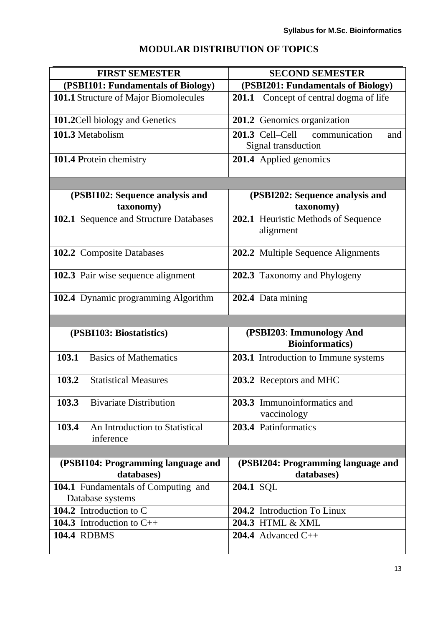| <b>MODULAR DISTRIBUTION OF TOPICS</b> |  |
|---------------------------------------|--|
|                                       |  |

| <b>FIRST SEMESTER</b>                                | <b>SECOND SEMESTER</b>                              |
|------------------------------------------------------|-----------------------------------------------------|
| (PSBI101: Fundamentals of Biology)                   | (PSBI201: Fundamentals of Biology)                  |
| 101.1 Structure of Major Biomolecules                | 201.1<br>Concept of central dogma of life           |
| 101.2 Cell biology and Genetics                      | 201.2 Genomics organization                         |
| 101.3 Metabolism                                     | $201.3$ Cell–Cell<br>communication<br>and           |
|                                                      | Signal transduction                                 |
| 101.4 Protein chemistry                              | 201.4 Applied genomics                              |
|                                                      |                                                     |
| (PSBI102: Sequence analysis and<br>taxonomy)         | (PSBI202: Sequence analysis and<br>taxonomy)        |
| 102.1 Sequence and Structure Databases               | 202.1 Heuristic Methods of Sequence<br>alignment    |
| 102.2 Composite Databases                            | 202.2 Multiple Sequence Alignments                  |
| 102.3 Pair wise sequence alignment                   | 202.3 Taxonomy and Phylogeny                        |
| 102.4 Dynamic programming Algorithm                  | 202.4 Data mining                                   |
|                                                      |                                                     |
| (PSBI103: Biostatistics)                             | (PSBI203: Immunology And<br><b>Bioinformatics</b> ) |
| 103.1<br><b>Basics of Mathematics</b>                | 203.1 Introduction to Immune systems                |
| 103.2<br><b>Statistical Measures</b>                 | 203.2 Receptors and MHC                             |
| 103.3<br><b>Bivariate Distribution</b>               | 203.3 Immunoinformatics and<br>vaccinology          |
| 103.4<br>An Introduction to Statistical<br>inference | 203.4 Patinformatics                                |
|                                                      |                                                     |
| (PSBI104: Programming language and<br>databases)     | (PSBI204: Programming language and<br>databases)    |
| 104.1 Fundamentals of Computing and                  | 204.1 SQL                                           |
| Database systems                                     |                                                     |
| 104.2 Introduction to C                              | 204.2 Introduction To Linux                         |
| 104.3 Introduction to $C_{++}$                       | 204.3 HTML & XML                                    |
| <b>104.4 RDBMS</b>                                   | 204.4 Advanced $C++$                                |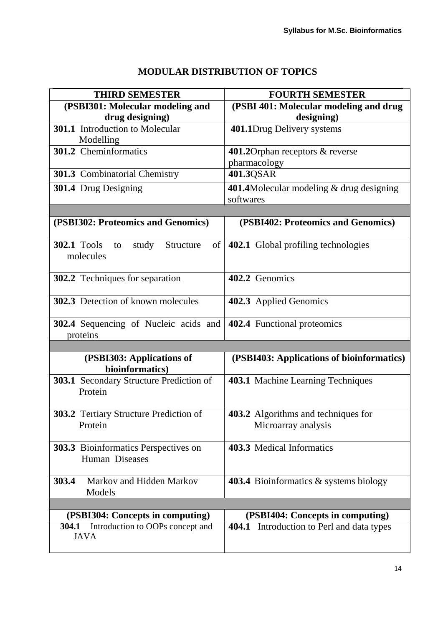# **MODULAR DISTRIBUTION OF TOPICS**

| <b>THIRD SEMESTER</b>                                             | <b>FOURTH SEMESTER</b>                                |
|-------------------------------------------------------------------|-------------------------------------------------------|
| (PSBI301: Molecular modeling and                                  | (PSBI 401: Molecular modeling and drug                |
| drug designing)                                                   | designing)                                            |
| <b>301.1</b> Introduction to Molecular<br>Modelling               | 401.1Drug Delivery systems                            |
| 301.2 Cheminformatics                                             | 401.2Orphan receptors & reverse                       |
|                                                                   | pharmacology                                          |
| 301.3 Combinatorial Chemistry                                     | 401.3QSAR                                             |
| 301.4 Drug Designing                                              | 401.4Molecular modeling & drug designing<br>softwares |
|                                                                   |                                                       |
| (PSBI302: Proteomics and Genomics)                                | (PSBI402: Proteomics and Genomics)                    |
| <b>302.1 Tools</b><br>Structure<br>study<br>to<br>of<br>molecules | 402.1 Global profiling technologies                   |
| 302.2 Techniques for separation                                   | 402.2 Genomics                                        |
| 302.3 Detection of known molecules                                | 402.3 Applied Genomics                                |
| 302.4 Sequencing of Nucleic acids and<br>proteins                 | 402.4 Functional proteomics                           |
|                                                                   |                                                       |
| (PSBI303: Applications of<br>bioinformatics)                      | (PSBI403: Applications of bioinformatics)             |
| 303.1 Secondary Structure Prediction of<br>Protein                | 403.1 Machine Learning Techniques                     |
| 303.2 Tertiary Structure Prediction of                            | 403.2 Algorithms and techniques for                   |
| Protein                                                           | Microarray analysis                                   |
| 303.3 Bioinformatics Perspectives on<br>Human Diseases            | 403.3 Medical Informatics                             |
| 303.4<br>Markov and Hidden Markov<br>Models                       | 403.4 Bioinformatics & systems biology                |
|                                                                   |                                                       |
| (PSBI304: Concepts in computing)                                  | (PSBI404: Concepts in computing)                      |
| Introduction to OOPs concept and<br>304.1<br><b>JAVA</b>          | 404.1 Introduction to Perl and data types             |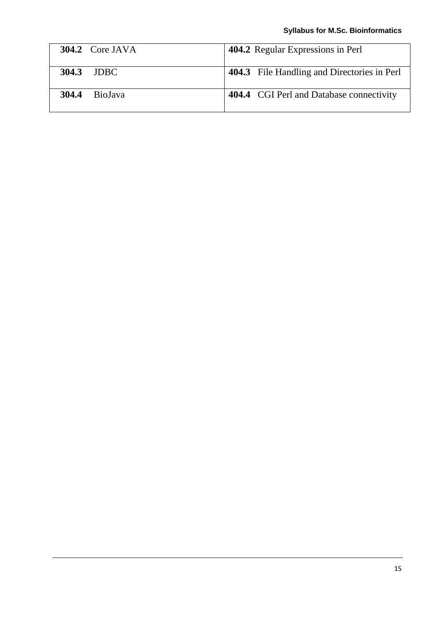| 304.2 Core JAVA  | 404.2 Regular Expressions in Perl           |
|------------------|---------------------------------------------|
| 304.3 JDBC       | 404.3 File Handling and Directories in Perl |
| 304.4<br>BioJava | 404.4 CGI Perl and Database connectivity    |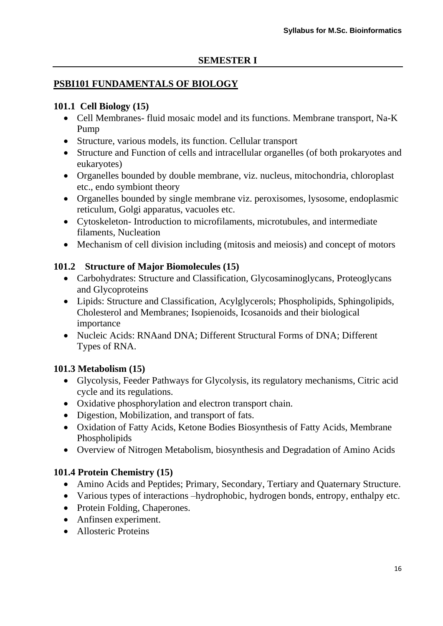### **PSBI101 FUNDAMENTALS OF BIOLOGY**

### **101.1 Cell Biology (15)**

- Cell Membranes- fluid mosaic model and its functions. Membrane transport, Na-K Pump
- Structure, various models, its function. Cellular transport
- Structure and Function of cells and intracellular organelles (of both prokaryotes and eukaryotes)
- Organelles bounded by double membrane, viz. nucleus, mitochondria, chloroplast etc., endo symbiont theory
- Organelles bounded by single membrane viz. peroxisomes, lysosome, endoplasmic reticulum, Golgi apparatus, vacuoles etc.
- Cytoskeleton- Introduction to microfilaments, microtubules, and intermediate filaments, Nucleation
- Mechanism of cell division including (mitosis and meiosis) and concept of motors

### **101.2 Structure of Major Biomolecules (15)**

- Carbohydrates: Structure and Classification, Glycosaminoglycans, Proteoglycans and Glycoproteins
- Lipids: Structure and Classification, Acylglycerols; Phospholipids, Sphingolipids, Cholesterol and Membranes; Isopienoids, Icosanoids and their biological importance
- Nucleic Acids: RNAand DNA; Different Structural Forms of DNA; Different Types of RNA.

## **101.3 Metabolism (15)**

- Glycolysis, Feeder Pathways for Glycolysis, its regulatory mechanisms, Citric acid cycle and its regulations.
- Oxidative phosphorylation and electron transport chain.
- Digestion, Mobilization, and transport of fats.
- Oxidation of Fatty Acids, Ketone Bodies Biosynthesis of Fatty Acids, Membrane Phospholipids
- Overview of Nitrogen Metabolism, biosynthesis and Degradation of Amino Acids

## **101.4 Protein Chemistry (15)**

- Amino Acids and Peptides; Primary, Secondary, Tertiary and Quaternary Structure.
- Various types of interactions –hydrophobic, hydrogen bonds, entropy, enthalpy etc.
- Protein Folding, Chaperones.
- Anfinsen experiment.
- Allosteric Proteins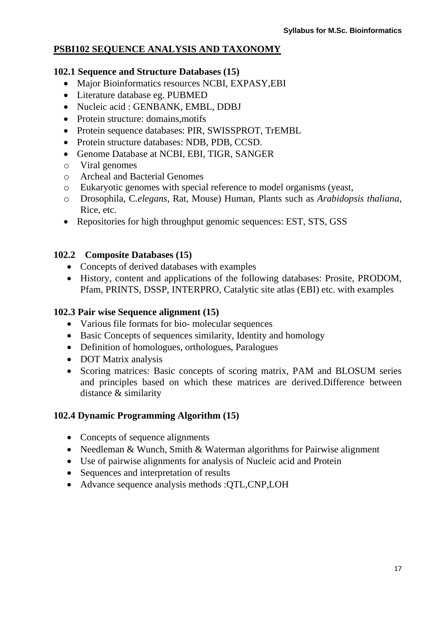## **PSBI102 SEQUENCE ANALYSIS AND TAXONOMY**

### **102.1 Sequence and Structure Databases (15)**

- Major Bioinformatics resources NCBI, EXPASY,EBI
- Literature database eg. PUBMED
- Nucleic acid : GENBANK, EMBL, DDBJ
- Protein structure: domains, motifs
- Protein sequence databases: PIR, SWISSPROT, TrEMBL
- Protein structure databases: NDB, PDB, CCSD.
- Genome Database at NCBI, EBI, TIGR, SANGER
- o Viral genomes
- o Archeal and Bacterial Genomes
- o Eukaryotic genomes with special reference to model organisms (yeast,
- o Drosophila, C*.elegans*, Rat, Mouse) Human, Plants such as *Arabidopsis thaliana*, Rice, etc.
- Repositories for high throughput genomic sequences: EST, STS, GSS

### **102.2 Composite Databases (15)**

- Concepts of derived databases with examples
- History, content and applications of the following databases: Prosite, PRODOM, Pfam, PRINTS, DSSP, INTERPRO, Catalytic site atlas (EBI) etc. with examples

### **102.3 Pair wise Sequence alignment (15)**

- Various file formats for bio- molecular sequences
- Basic Concepts of sequences similarity, Identity and homology
- Definition of homologues, orthologues, Paralogues
- DOT Matrix analysis
- Scoring matrices: Basic concepts of scoring matrix, PAM and BLOSUM series and principles based on which these matrices are derived.Difference between distance & similarity

## **102.4 Dynamic Programming Algorithm (15)**

- Concepts of sequence alignments
- Needleman & Wunch, Smith & Waterman algorithms for Pairwise alignment
- Use of pairwise alignments for analysis of Nucleic acid and Protein
- Sequences and interpretation of results
- Advance sequence analysis methods :QTL,CNP,LOH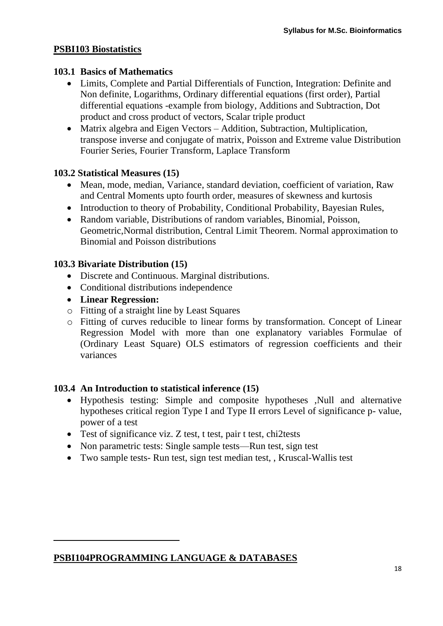## **PSBI103 Biostatistics**

### **103.1 Basics of Mathematics**

- Limits, Complete and Partial Differentials of Function, Integration: Definite and Non definite, Logarithms, Ordinary differential equations (first order), Partial differential equations -example from biology, Additions and Subtraction, Dot product and cross product of vectors, Scalar triple product
- Matrix algebra and Eigen Vectors Addition, Subtraction, Multiplication, transpose inverse and conjugate of matrix, Poisson and Extreme value Distribution Fourier Series, Fourier Transform, Laplace Transform

### **103.2 Statistical Measures (15)**

- Mean, mode, median, Variance, standard deviation, coefficient of variation, Raw and Central Moments upto fourth order, measures of skewness and kurtosis
- Introduction to theory of Probability, Conditional Probability, Bayesian Rules,
- Random variable, Distributions of random variables, Binomial, Poisson, Geometric,Normal distribution, Central Limit Theorem. Normal approximation to Binomial and Poisson distributions

### **103.3 Bivariate Distribution (15)**

- Discrete and Continuous. Marginal distributions.
- Conditional distributions independence
- **Linear Regression:**
- o Fitting of a straight line by Least Squares
- o Fitting of curves reducible to linear forms by transformation. Concept of Linear Regression Model with more than one explanatory variables Formulae of (Ordinary Least Square) OLS estimators of regression coefficients and their variances

### **103.4 An Introduction to statistical inference (15)**

- Hypothesis testing: Simple and composite hypotheses ,Null and alternative hypotheses critical region Type I and Type II errors Level of significance p- value, power of a test
- Test of significance viz. Z test, t test, pair t test, chi2tests
- Non parametric tests: Single sample tests—Run test, sign test
- Two sample tests- Run test, sign test median test, , Kruscal-Wallis test

**PSBI104PROGRAMMING LANGUAGE & DATABASES**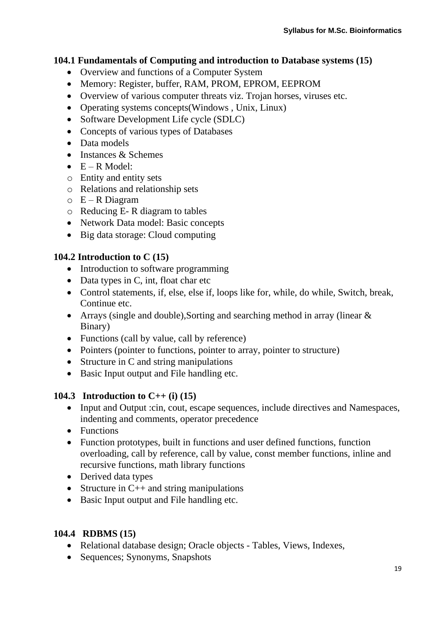## **104.1 Fundamentals of Computing and introduction to Database systems (15)**

- Overview and functions of a Computer System
- Memory: Register, buffer, RAM, PROM, EPROM, EEPROM
- Overview of various computer threats viz. Trojan horses, viruses etc.
- Operating systems concepts(Windows, Unix, Linux)
- Software Development Life cycle (SDLC)
- Concepts of various types of Databases
- Data models
- $\bullet$  Instances & Schemes
- $\bullet$  E R Model:
- o Entity and entity sets
- o Relations and relationship sets
- $O$  E R Diagram
- o Reducing E- R diagram to tables
- Network Data model: Basic concepts
- Big data storage: Cloud computing

# **104.2 Introduction to C (15)**

- Introduction to software programming
- Data types in C, int, float char etc
- Control statements, if, else, else if, loops like for, while, do while, Switch, break, Continue etc.
- Arrays (single and double), Sorting and searching method in array (linear  $\&$ Binary)
- Functions (call by value, call by reference)
- Pointers (pointer to functions, pointer to array, pointer to structure)
- Structure in C and string manipulations
- Basic Input output and File handling etc.

# **104.3 Introduction to C++ (i) (15)**

- Input and Output :cin, cout, escape sequences, include directives and Namespaces, indenting and comments, operator precedence
- Functions
- Function prototypes, built in functions and user defined functions, function overloading, call by reference, call by value, const member functions, inline and recursive functions, math library functions
- Derived data types
- Structure in  $C++$  and string manipulations
- Basic Input output and File handling etc.

# **104.4 RDBMS (15)**

- Relational database design; Oracle objects Tables, Views, Indexes,
- Sequences; Synonyms, Snapshots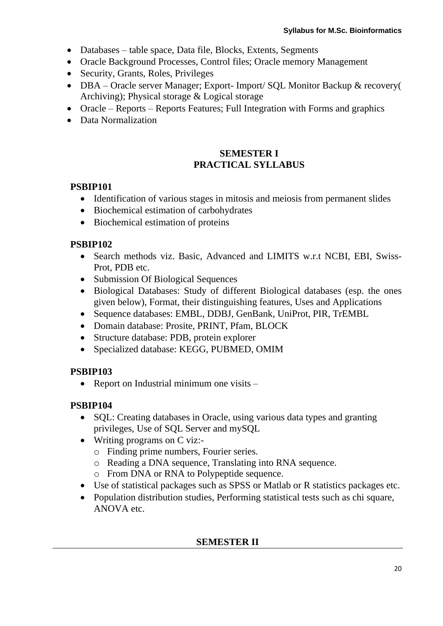- Databases table space, Data file, Blocks, Extents, Segments
- Oracle Background Processes, Control files: Oracle memory Management
- Security, Grants, Roles, Privileges
- DBA Oracle server Manager; Export- Import/ SQL Monitor Backup & recovery( Archiving); Physical storage & Logical storage
- Oracle Reports Reports Features; Full Integration with Forms and graphics
- Data Normalization

#### **SEMESTER I PRACTICAL SYLLABUS**

### **PSBIP101**

- Identification of various stages in mitosis and meiosis from permanent slides
- Biochemical estimation of carbohydrates
- Biochemical estimation of proteins

### **PSBIP102**

- Search methods viz. Basic, Advanced and LIMITS w.r.t NCBI, EBI, Swiss-Prot, PDB etc.
- Submission Of Biological Sequences
- Biological Databases: Study of different Biological databases (esp. the ones given below), Format, their distinguishing features, Uses and Applications
- Sequence databases: EMBL, DDBJ, GenBank, UniProt, PIR, TrEMBL
- Domain database: Prosite, PRINT, Pfam, BLOCK
- Structure database: PDB, protein explorer
- Specialized database: KEGG, PUBMED, OMIM

## **PSBIP103**

• Report on Industrial minimum one visits  $-$ 

## **PSBIP104**

- SQL: Creating databases in Oracle, using various data types and granting privileges, Use of SQL Server and mySQL
- Writing programs on C viz:
	- o Finding prime numbers, Fourier series.
	- o Reading a DNA sequence, Translating into RNA sequence.
	- o From DNA or RNA to Polypeptide sequence.
- Use of statistical packages such as SPSS or Matlab or R statistics packages etc.
- Population distribution studies, Performing statistical tests such as chi square, ANOVA etc.

### **SEMESTER II**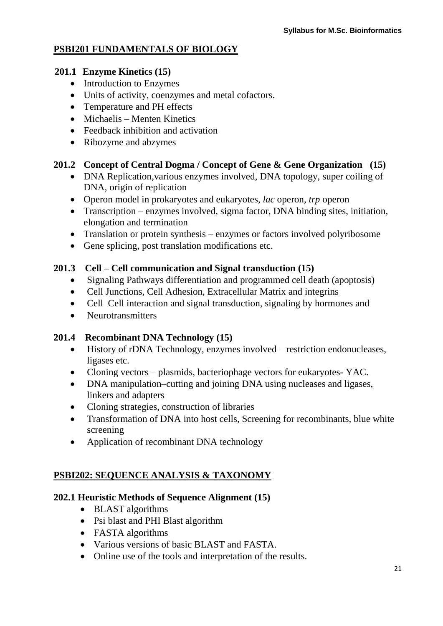## **PSBI201 FUNDAMENTALS OF BIOLOGY**

### **201.1 Enzyme Kinetics (15)**

- Introduction to Enzymes
- Units of activity, coenzymes and metal cofactors.
- Temperature and PH effects
- Michaelis Menten Kinetics
- Feedback inhibition and activation
- Ribozyme and abzymes

## **201.2 Concept of Central Dogma / Concept of Gene & Gene Organization (15)**

- DNA Replication, various enzymes involved, DNA topology, super coiling of DNA, origin of replication
- Operon model in prokaryotes and eukaryotes, *lac* operon, *trp* operon
- Transcription enzymes involved, sigma factor, DNA binding sites, initiation, elongation and termination
- Translation or protein synthesis enzymes or factors involved polyribosome
- Gene splicing, post translation modifications etc.

## **201.3 Cell – Cell communication and Signal transduction (15)**

- Signaling Pathways differentiation and programmed cell death (apoptosis)
- Cell Junctions, Cell Adhesion, Extracellular Matrix and integrins
- Cell–Cell interaction and signal transduction, signaling by hormones and
- Neurotransmitters

## **201.4 Recombinant DNA Technology (15)**

- History of rDNA Technology, enzymes involved restriction endonucleases, ligases etc.
- Cloning vectors plasmids, bacteriophage vectors for eukaryotes- YAC.
- DNA manipulation–cutting and joining DNA using nucleases and ligases, linkers and adapters
- Cloning strategies, construction of libraries
- Transformation of DNA into host cells, Screening for recombinants, blue white screening
- Application of recombinant DNA technology

# **PSBI202: SEQUENCE ANALYSIS & TAXONOMY**

## **202.1 Heuristic Methods of Sequence Alignment (15)**

- BLAST algorithms
- Psi blast and PHI Blast algorithm
- FASTA algorithms
- Various versions of basic BLAST and FASTA.
- Online use of the tools and interpretation of the results.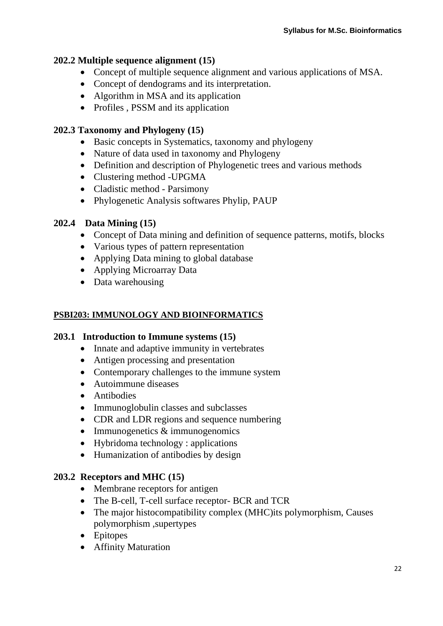## **202.2 Multiple sequence alignment (15)**

- Concept of multiple sequence alignment and various applications of MSA.
- Concept of dendograms and its interpretation.
- Algorithm in MSA and its application
- Profiles , PSSM and its application

### **202.3 Taxonomy and Phylogeny (15)**

- Basic concepts in Systematics, taxonomy and phylogeny
- Nature of data used in taxonomy and Phylogeny
- Definition and description of Phylogenetic trees and various methods
- Clustering method -UPGMA
- Cladistic method Parsimony
- Phylogenetic Analysis softwares Phylip, PAUP

### **202.4 Data Mining (15)**

- Concept of Data mining and definition of sequence patterns, motifs, blocks
- Various types of pattern representation
- Applying Data mining to global database
- Applying Microarray Data
- Data warehousing

## **PSBI203: IMMUNOLOGY AND BIOINFORMATICS**

### **203.1 Introduction to Immune systems (15)**

- Innate and adaptive immunity in vertebrates
- Antigen processing and presentation
- Contemporary challenges to the immune system
- Autoimmune diseases
- Antibodies
- Immunoglobulin classes and subclasses
- CDR and LDR regions and sequence numbering
- Immunogenetics & immunogenomics
- Hybridoma technology : applications
- Humanization of antibodies by design

### **203.2 Receptors and MHC (15)**

- Membrane receptors for antigen
- The B-cell, T-cell surface receptor- BCR and TCR
- The major histocompatibility complex (MHC) its polymorphism, Causes polymorphism ,supertypes
- Epitopes
- Affinity Maturation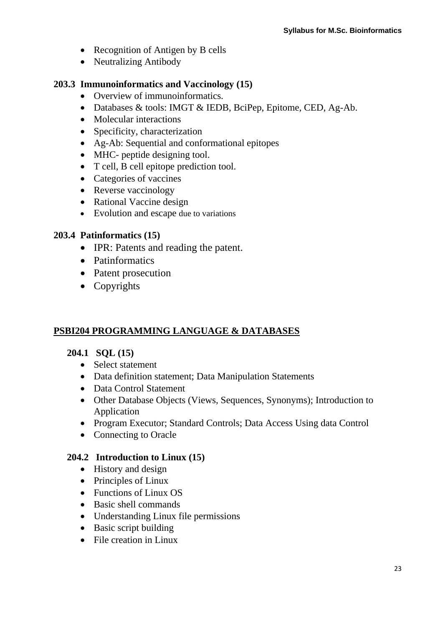- Recognition of Antigen by B cells
- Neutralizing Antibody

## **203.3 Immunoinformatics and Vaccinology (15)**

- Overview of immunoinformatics.
- Databases & tools: IMGT & IEDB, BciPep, Epitome, CED, Ag-Ab.
- Molecular interactions
- Specificity, characterization
- Ag-Ab: Sequential and conformational epitopes
- MHC- peptide designing tool.
- T cell, B cell epitope prediction tool.
- Categories of vaccines
- Reverse vaccinology
- Rational Vaccine design
- Evolution and escape due to variations

### **203.4 Patinformatics (15)**

- IPR: Patents and reading the patent.
- Patinformatics
- Patent prosecution
- Copyrights

# **PSBI204 PROGRAMMING LANGUAGE & DATABASES**

### **204.1 SQL (15)**

- Select statement
- Data definition statement; Data Manipulation Statements
- Data Control Statement
- Other Database Objects (Views, Sequences, Synonyms); Introduction to Application
- Program Executor; Standard Controls; Data Access Using data Control
- Connecting to Oracle

### **204.2 Introduction to Linux (15)**

- History and design
- Principles of Linux
- Functions of Linux OS
- Basic shell commands
- Understanding Linux file permissions
- Basic script building
- File creation in Linux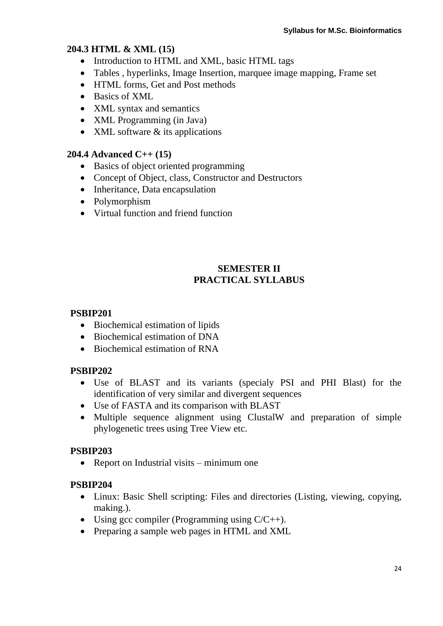### **204.3 HTML & XML (15)**

- Introduction to HTML and XML, basic HTML tags
- Tables , hyperlinks, Image Insertion, marquee image mapping, Frame set
- HTML forms, Get and Post methods
- Basics of XML
- XML syntax and semantics
- XML Programming (in Java)
- $\bullet$  XML software  $\&$  its applications

### **204.4 Advanced C++ (15)**

- Basics of object oriented programming
- Concept of Object, class, Constructor and Destructors
- Inheritance, Data encapsulation
- Polymorphism
- Virtual function and friend function

### **SEMESTER II PRACTICAL SYLLABUS**

### **PSBIP201**

- Biochemical estimation of lipids
- Biochemical estimation of DNA
- Biochemical estimation of RNA

### **PSBIP202**

- Use of BLAST and its variants (specialy PSI and PHI Blast) for the identification of very similar and divergent sequences
- Use of FASTA and its comparison with BLAST
- Multiple sequence alignment using ClustalW and preparation of simple phylogenetic trees using Tree View etc.

## **PSBIP203**

• Report on Industrial visits – minimum one

### **PSBIP204**

- Linux: Basic Shell scripting: Files and directories (Listing, viewing, copying, making.).
- Using gcc compiler (Programming using  $C/C_{++}$ ).
- Preparing a sample web pages in HTML and XML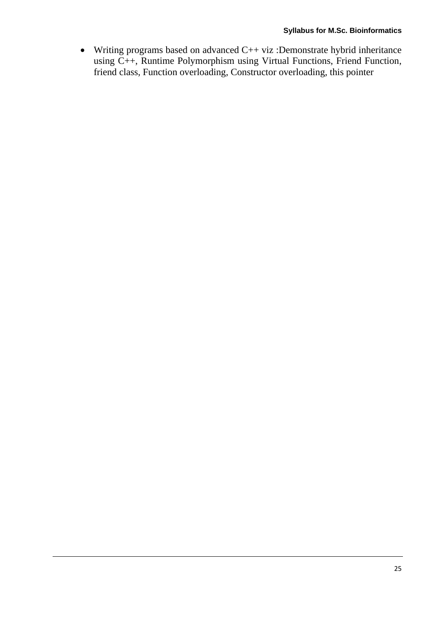Writing programs based on advanced C++ viz :Demonstrate hybrid inheritance using C++, Runtime Polymorphism using Virtual Functions, Friend Function, friend class, Function overloading, Constructor overloading, this pointer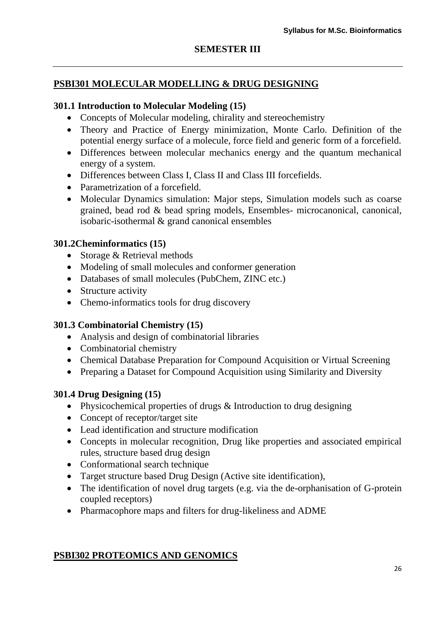### **SEMESTER III**

### **PSBI301 MOLECULAR MODELLING & DRUG DESIGNING**

#### **301.1 Introduction to Molecular Modeling (15)**

- Concepts of Molecular modeling, chirality and stereochemistry
- Theory and Practice of Energy minimization, Monte Carlo. Definition of the potential energy surface of a molecule, force field and generic form of a forcefield.
- Differences between molecular mechanics energy and the quantum mechanical energy of a system.
- Differences between Class I, Class II and Class III forcefields.
- Parametrization of a forcefield.
- Molecular Dynamics simulation: Major steps, Simulation models such as coarse grained, bead rod & bead spring models, Ensembles- microcanonical, canonical, isobaric-isothermal & grand canonical ensembles

#### **301.2Cheminformatics (15)**

- Storage & Retrieval methods
- Modeling of small molecules and conformer generation
- Databases of small molecules (PubChem, ZINC etc.)
- Structure activity
- Chemo-informatics tools for drug discovery

#### **301.3 Combinatorial Chemistry (15)**

- Analysis and design of combinatorial libraries
- Combinatorial chemistry
- Chemical Database Preparation for Compound Acquisition or Virtual Screening
- Preparing a Dataset for Compound Acquisition using Similarity and Diversity

#### **301.4 Drug Designing (15)**

- Physicochemical properties of drugs & Introduction to drug designing
- Concept of receptor/target site
- Lead identification and structure modification
- Concepts in molecular recognition, Drug like properties and associated empirical rules, structure based drug design
- Conformational search technique
- Target structure based Drug Design (Active site identification),
- The identification of novel drug targets (e.g. via the de-orphanisation of G-protein coupled receptors)
- Pharmacophore maps and filters for drug-likeliness and ADME

### **PSBI302 PROTEOMICS AND GENOMICS**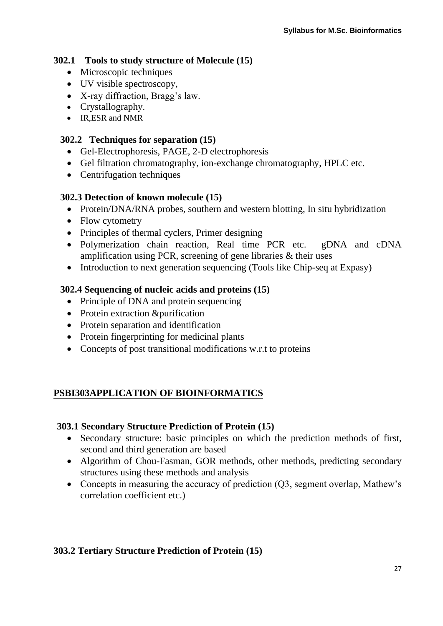### **302.1 Tools to study structure of Molecule (15)**

- Microscopic techniques
- UV visible spectroscopy,
- X-ray diffraction, Bragg's law.
- Crystallography.
- IR, ESR and NMR

### **302.2 Techniques for separation (15)**

- Gel-Electrophoresis, PAGE, 2-D electrophoresis
- Gel filtration chromatography, ion-exchange chromatography, HPLC etc.
- Centrifugation techniques

### **302.3 Detection of known molecule (15)**

- Protein/DNA/RNA probes, southern and western blotting, In situ hybridization
- Flow cytometry
- Principles of thermal cyclers, Primer designing
- Polymerization chain reaction, Real time PCR etc. gDNA and cDNA amplification using PCR, screening of gene libraries & their uses
- Introduction to next generation sequencing (Tools like Chip-seq at Expasy)

## **302.4 Sequencing of nucleic acids and proteins (15)**

- Principle of DNA and protein sequencing
- Protein extraction &purification
- Protein separation and identification
- Protein fingerprinting for medicinal plants
- Concepts of post transitional modifications w.r.t to proteins

## **PSBI303APPLICATION OF BIOINFORMATICS**

### **303.1 Secondary Structure Prediction of Protein (15)**

- Secondary structure: basic principles on which the prediction methods of first, second and third generation are based
- Algorithm of Chou-Fasman, GOR methods, other methods, predicting secondary structures using these methods and analysis
- Concepts in measuring the accuracy of prediction (O3, segment overlap, Mathew's correlation coefficient etc.)

## **303.2 Tertiary Structure Prediction of Protein (15)**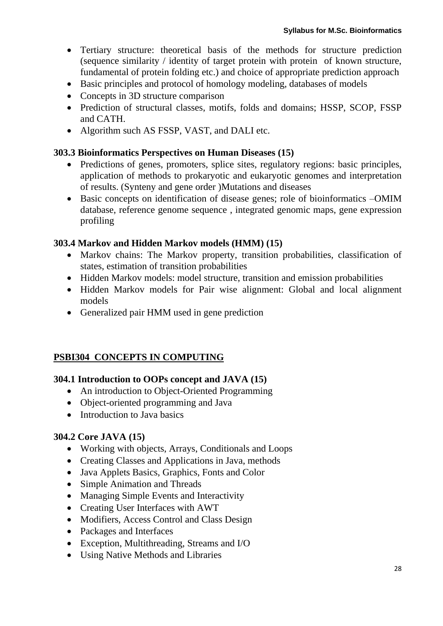- Tertiary structure: theoretical basis of the methods for structure prediction (sequence similarity / identity of target protein with protein of known structure, fundamental of protein folding etc.) and choice of appropriate prediction approach
- Basic principles and protocol of homology modeling, databases of models
- Concepts in 3D structure comparison
- Prediction of structural classes, motifs, folds and domains; HSSP, SCOP, FSSP and CATH.
- Algorithm such AS FSSP, VAST, and DALI etc.

#### **303.3 Bioinformatics Perspectives on Human Diseases (15)**

- Predictions of genes, promoters, splice sites, regulatory regions: basic principles, application of methods to prokaryotic and eukaryotic genomes and interpretation of results. (Synteny and gene order )Mutations and diseases
- Basic concepts on identification of disease genes; role of bioinformatics –OMIM database, reference genome sequence , integrated genomic maps, gene expression profiling

#### **303.4 Markov and Hidden Markov models (HMM) (15)**

- Markov chains: The Markov property, transition probabilities, classification of states, estimation of transition probabilities
- Hidden Markov models: model structure, transition and emission probabilities
- Hidden Markov models for Pair wise alignment: Global and local alignment models
- Generalized pair HMM used in gene prediction

### **PSBI304 CONCEPTS IN COMPUTING**

### **304.1 Introduction to OOPs concept and JAVA (15)**

- An introduction to Object-Oriented Programming
- Object-oriented programming and Java
- Introduction to Java basics

### **304.2 Core JAVA (15)**

- Working with objects, Arrays, Conditionals and Loops
- Creating Classes and Applications in Java, methods
- Java Applets Basics, Graphics, Fonts and Color
- Simple Animation and Threads
- Managing Simple Events and Interactivity
- Creating User Interfaces with AWT
- Modifiers, Access Control and Class Design
- Packages and Interfaces
- Exception, Multithreading, Streams and I/O
- Using Native Methods and Libraries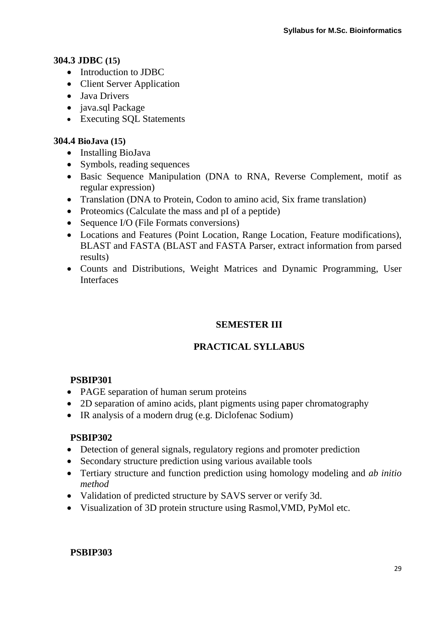### **304.3 JDBC (15)**

- Introduction to JDBC
- Client Server Application
- Java Drivers
- java.sql Package
- Executing SQL Statements

#### **304.4 BioJava (15)**

- Installing BioJava
- Symbols, reading sequences
- Basic Sequence Manipulation (DNA to RNA, Reverse Complement, motif as regular expression)
- Translation (DNA to Protein, Codon to amino acid, Six frame translation)
- Proteomics (Calculate the mass and pI of a peptide)
- Sequence I/O (File Formats conversions)
- Locations and Features (Point Location, Range Location, Feature modifications), BLAST and FASTA (BLAST and FASTA Parser, extract information from parsed results)
- Counts and Distributions, Weight Matrices and Dynamic Programming, User Interfaces

### **SEMESTER III**

## **PRACTICAL SYLLABUS**

### **PSBIP301**

- PAGE separation of human serum proteins
- 2D separation of amino acids, plant pigments using paper chromatography
- IR analysis of a modern drug (e.g. Diclofenac Sodium)

#### **PSBIP302**

- Detection of general signals, regulatory regions and promoter prediction
- Secondary structure prediction using various available tools
- Tertiary structure and function prediction using homology modeling and *ab initio method*
- Validation of predicted structure by SAVS server or verify 3d.
- Visualization of 3D protein structure using Rasmol,VMD, PyMol etc.

### **PSBIP303**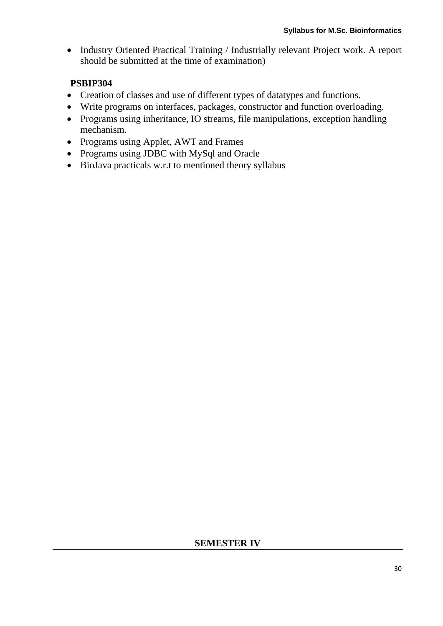• Industry Oriented Practical Training / Industrially relevant Project work. A report should be submitted at the time of examination)

## **PSBIP304**

- Creation of classes and use of different types of datatypes and functions.
- Write programs on interfaces, packages, constructor and function overloading.
- Programs using inheritance, IO streams, file manipulations, exception handling mechanism.
- Programs using Applet, AWT and Frames
- Programs using JDBC with MySql and Oracle
- BioJava practicals w.r.t to mentioned theory syllabus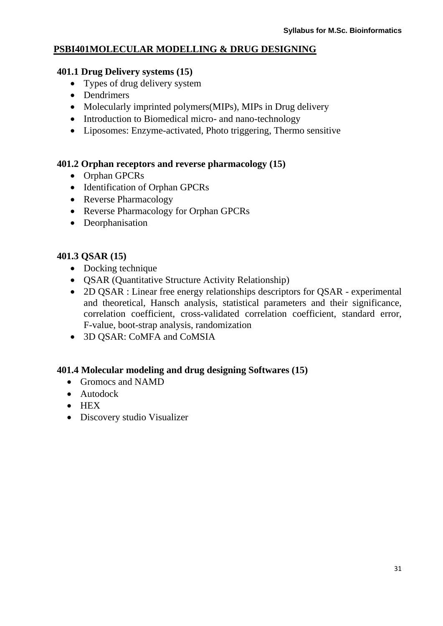### **PSBI401MOLECULAR MODELLING & DRUG DESIGNING**

#### **401.1 Drug Delivery systems (15)**

- Types of drug delivery system
- Dendrimers
- Molecularly imprinted polymers(MIPs), MIPs in Drug delivery
- Introduction to Biomedical micro- and nano-technology
- Liposomes: Enzyme-activated, Photo triggering, Thermo sensitive

### **401.2 Orphan receptors and reverse pharmacology (15)**

- Orphan GPCRs
- Identification of Orphan GPCRs
- Reverse Pharmacology
- Reverse Pharmacology for Orphan GPCRs
- Deorphanisation

### **401.3 QSAR (15)**

- Docking technique
- **QSAR (Quantitative Structure Activity Relationship)**
- 2D QSAR : Linear free energy relationships descriptors for QSAR experimental and theoretical, Hansch analysis, statistical parameters and their significance, correlation coefficient, cross-validated correlation coefficient, standard error, F-value, boot-strap analysis, randomization
- 3D QSAR: CoMFA and CoMSIA

### **401.4 Molecular modeling and drug designing Softwares (15)**

- Gromocs and NAMD
- Autodock
- $\bullet$  HEX
- Discovery studio Visualizer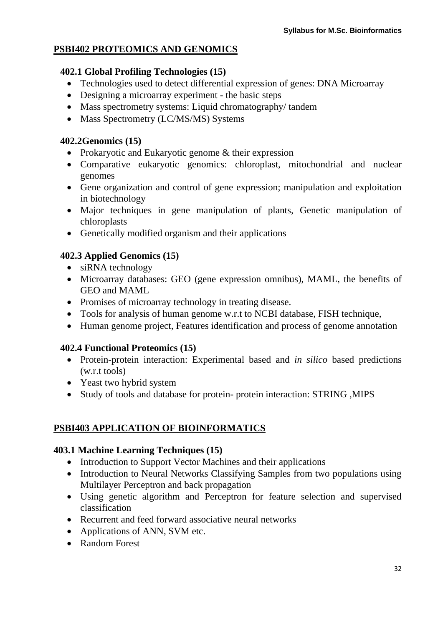## **PSBI402 PROTEOMICS AND GENOMICS**

### **402.1 Global Profiling Technologies (15)**

- Technologies used to detect differential expression of genes: DNA Microarray
- Designing a microarray experiment the basic steps
- Mass spectrometry systems: Liquid chromatography/tandem
- Mass Spectrometry (LC/MS/MS) Systems

### **402.2Genomics (15)**

- Prokaryotic and Eukaryotic genome & their expression
- Comparative eukaryotic genomics: chloroplast, mitochondrial and nuclear genomes
- Gene organization and control of gene expression; manipulation and exploitation in biotechnology
- Major techniques in gene manipulation of plants, Genetic manipulation of chloroplasts
- Genetically modified organism and their applications

## **402.3 Applied Genomics (15)**

- siRNA technology
- Microarray databases: GEO (gene expression omnibus), MAML, the benefits of GEO and MAML
- Promises of microarray technology in treating disease.
- Tools for analysis of human genome w.r.t to NCBI database, FISH technique,
- Human genome project, Features identification and process of genome annotation

### **402.4 Functional Proteomics (15)**

- Protein-protein interaction: Experimental based and *in silico* based predictions (w.r.t tools)
- Yeast two hybrid system
- Study of tools and database for protein- protein interaction: STRING ,MIPS

## **PSBI403 APPLICATION OF BIOINFORMATICS**

### **403.1 Machine Learning Techniques (15)**

- Introduction to Support Vector Machines and their applications
- Introduction to Neural Networks Classifying Samples from two populations using Multilayer Perceptron and back propagation
- Using genetic algorithm and Perceptron for feature selection and supervised classification
- Recurrent and feed forward associative neural networks
- Applications of ANN, SVM etc.
- Random Forest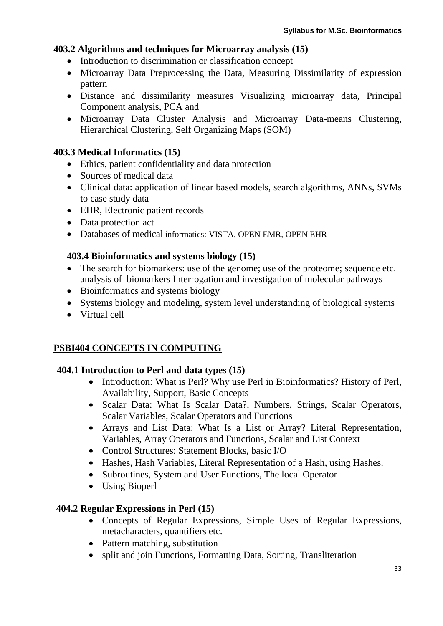#### **403.2 Algorithms and techniques for Microarray analysis (15)**

- Introduction to discrimination or classification concept
- Microarray Data Preprocessing the Data, Measuring Dissimilarity of expression pattern
- Distance and dissimilarity measures Visualizing microarray data, Principal Component analysis, PCA and
- Microarray Data Cluster Analysis and Microarray Data-means Clustering, Hierarchical Clustering, Self Organizing Maps (SOM)

#### **403.3 Medical Informatics (15)**

- Ethics, patient confidentiality and data protection
- Sources of medical data
- Clinical data: application of linear based models, search algorithms, ANNs, SVMs to case study data
- EHR, Electronic patient records
- Data protection act
- Databases of medical informatics: VISTA, OPEN EMR, OPEN EHR

#### **403.4 Bioinformatics and systems biology (15)**

- The search for biomarkers: use of the genome; use of the proteome; sequence etc. analysis of biomarkers Interrogation and investigation of molecular pathways
- Bioinformatics and systems biology
- Systems biology and modeling, system level understanding of biological systems
- Virtual cell

### **PSBI404 CONCEPTS IN COMPUTING**

#### **404.1 Introduction to Perl and data types (15)**

- Introduction: What is Perl? Why use Perl in Bioinformatics? History of Perl, Availability, Support, Basic Concepts
- Scalar Data: What Is Scalar Data?, Numbers, Strings, Scalar Operators, Scalar Variables, Scalar Operators and Functions
- Arrays and List Data: What Is a List or Array? Literal Representation, Variables, Array Operators and Functions, Scalar and List Context
- Control Structures: Statement Blocks, basic I/O
- Hashes, Hash Variables, Literal Representation of a Hash, using Hashes.
- Subroutines, System and User Functions, The local Operator
- Using Bioperl

#### **404.2 Regular Expressions in Perl (15)**

- Concepts of Regular Expressions, Simple Uses of Regular Expressions, metacharacters, quantifiers etc.
- Pattern matching, substitution
- split and join Functions, Formatting Data, Sorting, Transliteration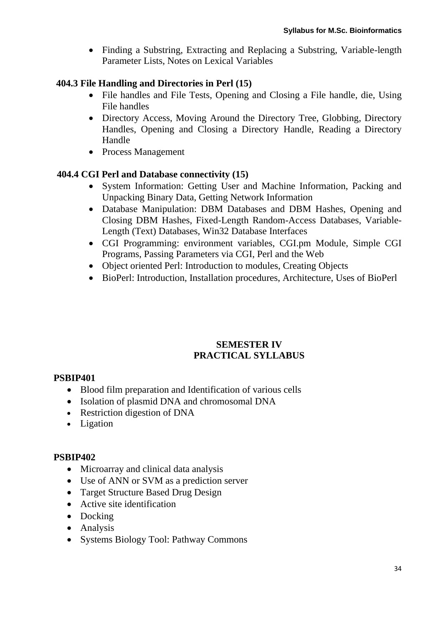• Finding a Substring, Extracting and Replacing a Substring, Variable-length Parameter Lists, Notes on Lexical Variables

### **404.3 File Handling and Directories in Perl (15)**

- File handles and File Tests, Opening and Closing a File handle, die, Using File handles
- Directory Access, Moving Around the Directory Tree, Globbing, Directory Handles, Opening and Closing a Directory Handle, Reading a Directory Handle
- Process Management

### **404.4 CGI Perl and Database connectivity (15)**

- System Information: Getting User and Machine Information, Packing and Unpacking Binary Data, Getting Network Information
- Database Manipulation: DBM Databases and DBM Hashes, Opening and Closing DBM Hashes, Fixed-Length Random-Access Databases, Variable-Length (Text) Databases, Win32 Database Interfaces
- CGI Programming: environment variables, CGI.pm Module, Simple CGI Programs, Passing Parameters via CGI, Perl and the Web
- Object oriented Perl: Introduction to modules, Creating Objects
- BioPerl: Introduction, Installation procedures, Architecture, Uses of BioPerl

### **SEMESTER IV PRACTICAL SYLLABUS**

### **PSBIP401**

- Blood film preparation and Identification of various cells
- Isolation of plasmid DNA and chromosomal DNA
- Restriction digestion of DNA
- Ligation

### **PSBIP402**

- Microarray and clinical data analysis
- Use of ANN or SVM as a prediction server
- Target Structure Based Drug Design
- Active site identification
- Docking
- Analysis
- Systems Biology Tool: Pathway Commons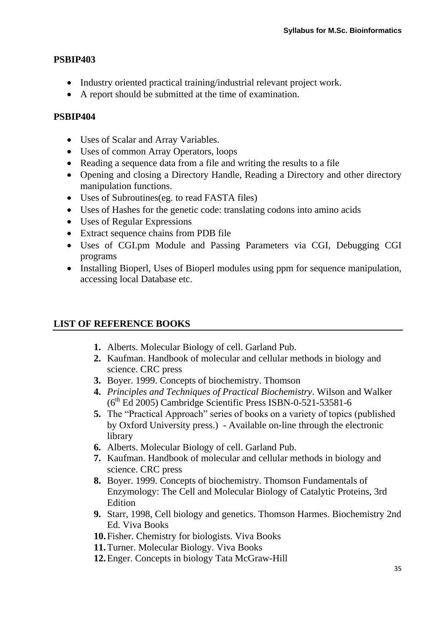### **PSBIP403**

- Industry oriented practical training/industrial relevant project work.
- A report should be submitted at the time of examination.

### **PSBIP404**

- Uses of Scalar and Array Variables.
- Uses of common Array Operators, loops
- Reading a sequence data from a file and writing the results to a file
- Opening and closing a Directory Handle, Reading a Directory and other directory manipulation functions.
- Uses of Subroutines(eg. to read FASTA files)
- Uses of Hashes for the genetic code: translating codons into amino acids
- Uses of Regular Expressions
- Extract sequence chains from PDB file
- Uses of CGI.pm Module and Passing Parameters via CGI, Debugging CGI programs
- Installing Bioperl, Uses of Bioperl modules using ppm for sequence manipulation, accessing local Database etc.

## **LIST OF REFERENCE BOOKS**

- **1.** Alberts. Molecular Biology of cell. Garland Pub.
- **2.** Kaufman. Handbook of molecular and cellular methods in biology and science. CRC press
- **3.** Boyer. 1999. Concepts of biochemistry. Thomson
- **4.** *Principles and Techniques of Practical Biochemistry*. Wilson and Walker  $(6<sup>th</sup>$  Ed 2005) Cambridge Scientific Press ISBN-0-521-53581-6
- **5.** The "Practical Approach" series of books on a variety of topics (published by Oxford University press.) - Available on-line through the electronic library
- **6.** Alberts. Molecular Biology of cell. Garland Pub.
- **7.** Kaufman. Handbook of molecular and cellular methods in biology and science. CRC press
- **8.** Boyer. 1999. Concepts of biochemistry. Thomson Fundamentals of Enzymology: The Cell and Molecular Biology of Catalytic Proteins, 3rd **Edition**
- **9.** Starr, 1998, Cell biology and genetics. Thomson Harmes. Biochemistry 2nd Ed. Viva Books
- **10.**Fisher. Chemistry for biologists. Viva Books
- **11.**Turner. Molecular Biology. Viva Books
- **12.**Enger. Concepts in biology Tata McGraw-Hill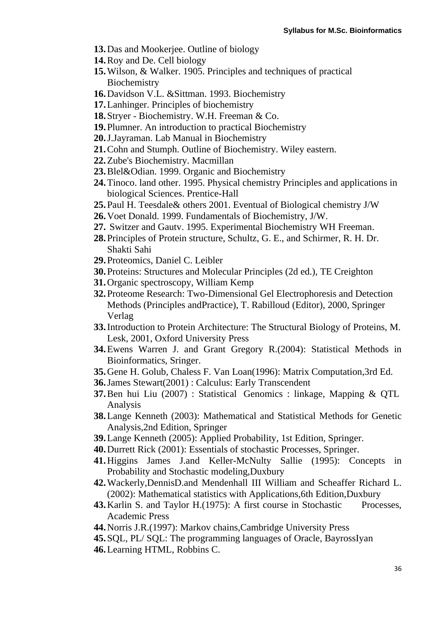- **13.**Das and Mookerjee. Outline of biology
- **14.**Roy and De. Cell biology
- **15.**Wilson, & Walker. 1905. Principles and techniques of practical **Biochemistry**
- **16.**Davidson V.L. &Sittman. 1993. Biochemistry
- **17.**Lanhinger. Principles of biochemistry
- **18.**Stryer Biochemistry. W.H. Freeman & Co.
- **19.**Plumner. An introduction to practical Biochemistry
- **20.**J.Jayraman. Lab Manual in Biochemistry
- **21.**Cohn and Stumph. Outline of Biochemistry. Wiley eastern.
- **22.**Zube's Biochemistry. Macmillan
- **23.**Blel&Odian. 1999. Organic and Biochemistry
- **24.**Tinoco. land other. 1995. Physical chemistry Principles and applications in biological Sciences. Prentice-Hall
- **25.**Paul H. Teesdale& others 2001. Eventual of Biological chemistry J/W
- **26.**Voet Donald. 1999. Fundamentals of Biochemistry, J/W.
- **27.** Switzer and Gautv. 1995. Experimental Biochemistry WH Freeman.
- **28.**Principles of Protein structure, Schultz, G. E., and Schirmer, R. H. Dr. Shakti Sahi
- **29.**Proteomics, Daniel C. Leibler
- **30.**Proteins: Structures and Molecular Principles (2d ed.), TE Creighton
- **31.**Organic spectroscopy, William Kemp
- **32.**Proteome Research: Two-Dimensional Gel Electrophoresis and Detection Methods (Principles andPractice), T. Rabilloud (Editor), 2000, Springer Verlag
- **33.**Introduction to Protein Architecture: The Structural Biology of Proteins, M. Lesk, 2001, Oxford University Press
- **34.**Ewens Warren J. and Grant Gregory R.(2004): Statistical Methods in Bioinformatics, Sringer.
- **35.**Gene H. Golub, Chaless F. Van Loan(1996): Matrix Computation,3rd Ed.
- **36.**James Stewart(2001) : Calculus: Early Transcendent
- **37.**Ben hui Liu (2007) : Statistical Genomics : linkage, Mapping & QTL Analysis
- **38.**Lange Kenneth (2003): Mathematical and Statistical Methods for Genetic Analysis,2nd Edition, Springer
- **39.**Lange Kenneth (2005): Applied Probability, 1st Edition, Springer.
- **40.**Durrett Rick (2001): Essentials of stochastic Processes, Springer.
- **41.**Higgins James J.and Keller-McNulty Sallie (1995): Concepts in Probability and Stochastic modeling,Duxbury
- **42.**Wackerly,DennisD.and Mendenhall III William and Scheaffer Richard L. (2002): Mathematical statistics with Applications,6th Edition,Duxbury
- **43.** Karlin S. and Taylor H. (1975): A first course in Stochastic Processes, Academic Press
- **44.**Norris J.R.(1997): Markov chains,Cambridge University Press
- **45.**SQL, PL/ SQL: The programming languages of Oracle, BayrossIyan
- **46.**Learning HTML, Robbins C.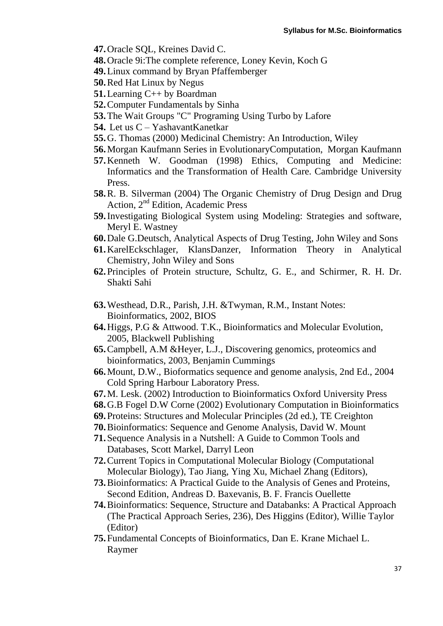**47.**Oracle SQL, Kreines David C.

- **48.**Oracle 9i:The complete reference, Loney Kevin, Koch G
- **49.**Linux command by Bryan Pfaffemberger
- **50.**Red Hat Linux by Negus
- **51.**Learning C++ by Boardman
- **52.**Computer Fundamentals by Sinha
- **53.**The Wait Groups "C" Programing Using Turbo by Lafore
- **54.** Let us C YashavantKanetkar
- **55.**G. Thomas (2000) Medicinal Chemistry: An Introduction, Wiley
- **56.**Morgan Kaufmann Series in EvolutionaryComputation, Morgan Kaufmann
- **57.**Kenneth W. Goodman (1998) Ethics, Computing and Medicine: Informatics and the Transformation of Health Care. Cambridge University Press.
- **58.**R. B. Silverman (2004) The Organic Chemistry of Drug Design and Drug Action, 2nd Edition, Academic Press
- **59.**Investigating Biological System using Modeling: Strategies and software, Meryl E. Wastney
- **60.**Dale G.Deutsch, Analytical Aspects of Drug Testing, John Wiley and Sons
- **61.**KarelEckschlager, KlansDanzer, Information Theory in Analytical Chemistry, John Wiley and Sons
- **62.**Principles of Protein structure, Schultz, G. E., and Schirmer, R. H. Dr. Shakti Sahi
- **63.**Westhead, D.R., Parish, J.H. &Twyman, R.M., Instant Notes: Bioinformatics, 2002, BIOS
- **64.**Higgs, P.G & Attwood. T.K., Bioinformatics and Molecular Evolution, 2005, Blackwell Publishing
- **65.**Campbell, A.M &Heyer, L.J., Discovering genomics, proteomics and bioinformatics, 2003, Benjamin Cummings
- **66.**Mount, D.W., Bioformatics sequence and genome analysis, 2nd Ed., 2004 Cold Spring Harbour Laboratory Press.
- **67.**M. Lesk. (2002) Introduction to Bioinformatics Oxford University Press
- **68.**G.B Fogel D.W Corne (2002) Evolutionary Computation in Bioinformatics
- **69.**Proteins: Structures and Molecular Principles (2d ed.), TE Creighton
- **70.**Bioinformatics: Sequence and Genome Analysis, David W. Mount
- **71.**Sequence Analysis in a Nutshell: A Guide to Common Tools and Databases, Scott Markel, Darryl Leon
- **72.**Current Topics in Computational Molecular Biology (Computational Molecular Biology), Tao Jiang, Ying Xu, Michael Zhang (Editors),
- **73.**Bioinformatics: A Practical Guide to the Analysis of Genes and Proteins, Second Edition, Andreas D. Baxevanis, B. F. Francis Ouellette
- **74.**Bioinformatics: Sequence, Structure and Databanks: A Practical Approach (The Practical Approach Series, 236), Des Higgins (Editor), Willie Taylor (Editor)
- **75.**Fundamental Concepts of Bioinformatics, Dan E. Krane Michael L. Raymer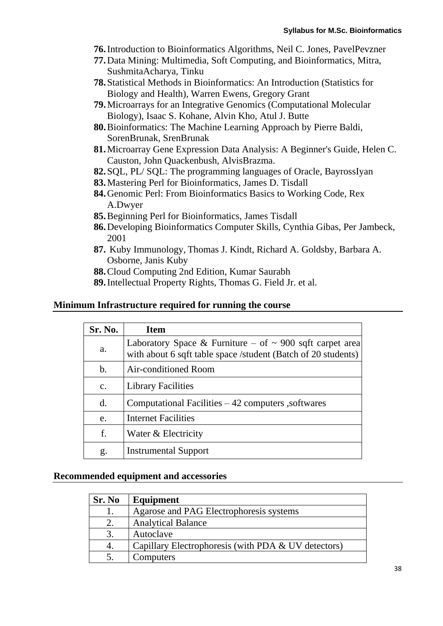- **76.**Introduction to Bioinformatics Algorithms, Neil C. Jones, PavelPevzner
- **77.**Data Mining: Multimedia, Soft Computing, and Bioinformatics, Mitra, SushmitaAcharya, Tinku
- **78.**Statistical Methods in Bioinformatics: An Introduction (Statistics for Biology and Health), Warren Ewens, Gregory Grant
- **79.**Microarrays for an Integrative Genomics (Computational Molecular Biology), Isaac S. Kohane, Alvin Kho, Atul J. Butte
- **80.**Bioinformatics: The Machine Learning Approach by Pierre Baldi, SorenBrunak, SrenBrunak
- **81.**Microarray Gene Expression Data Analysis: A Beginner's Guide, Helen C. Causton, John Quackenbush, AlvisBrazma.
- **82.**SQL, PL/ SQL: The programming languages of Oracle, BayrossIyan
- **83.**Mastering Perl for Bioinformatics, James D. Tisdall
- **84.**Genomic Perl: From Bioinformatics Basics to Working Code, Rex A.Dwyer
- **85.**Beginning Perl for Bioinformatics, James Tisdall
- **86.**Developing Bioinformatics Computer Skills, Cynthia Gibas, Per Jambeck, 2001
- **87.** Kuby Immunology, Thomas J. Kindt, Richard A. Goldsby, Barbara A. Osborne, Janis Kuby
- **88.**Cloud Computing 2nd Edition, Kumar Saurabh
- **89.**Intellectual Property Rights, Thomas G. Field Jr. et al.

#### **Minimum Infrastructure required for running the course**

| Sr. No.        | <b>Item</b>                                                                                                                    |
|----------------|--------------------------------------------------------------------------------------------------------------------------------|
| a.             | Laboratory Space & Furniture – of $\sim$ 900 sqft carpet area<br>with about 6 sqft table space /student (Batch of 20 students) |
| $\mathbf{b}$ . | Air-conditioned Room                                                                                                           |
| $\mathbf{c}$ . | <b>Library Facilities</b>                                                                                                      |
| $\mathbf{d}$ . | Computational Facilities $-42$ computers, softwares                                                                            |
| e.             | Internet Facilities                                                                                                            |
| f.             | Water & Electricity                                                                                                            |
| g.             | <b>Instrumental Support</b>                                                                                                    |

#### **Recommended equipment and accessories**

| Sr. No | Equipment                                           |
|--------|-----------------------------------------------------|
|        | Agarose and PAG Electrophoresis systems             |
| 2.     | <b>Analytical Balance</b>                           |
|        | Autoclave                                           |
|        | Capillary Electrophoresis (with PDA & UV detectors) |
|        | Computers                                           |